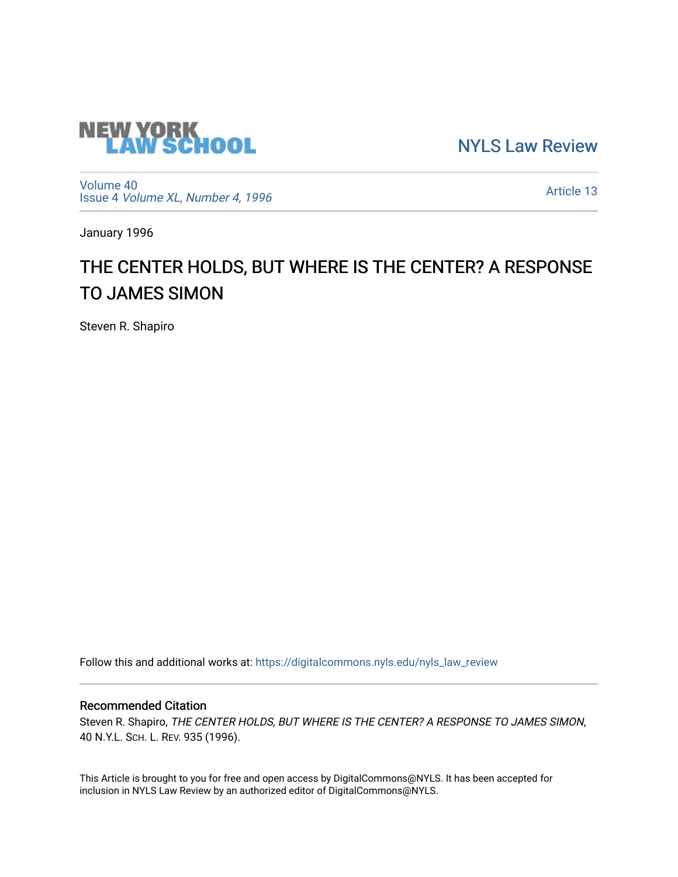

[NYLS Law Review](https://digitalcommons.nyls.edu/nyls_law_review) 

[Volume 40](https://digitalcommons.nyls.edu/nyls_law_review/vol40) Issue 4 [Volume XL, Number 4, 1996](https://digitalcommons.nyls.edu/nyls_law_review/vol40/iss4)

[Article 13](https://digitalcommons.nyls.edu/nyls_law_review/vol40/iss4/13) 

January 1996

## THE CENTER HOLDS, BUT WHERE IS THE CENTER? A RESPONSE TO JAMES SIMON

Steven R. Shapiro

Follow this and additional works at: [https://digitalcommons.nyls.edu/nyls\\_law\\_review](https://digitalcommons.nyls.edu/nyls_law_review?utm_source=digitalcommons.nyls.edu%2Fnyls_law_review%2Fvol40%2Fiss4%2F13&utm_medium=PDF&utm_campaign=PDFCoverPages) 

## Recommended Citation

Steven R. Shapiro, THE CENTER HOLDS, BUT WHERE IS THE CENTER? A RESPONSE TO JAMES SIMON, 40 N.Y.L. SCH. L. REV. 935 (1996).

This Article is brought to you for free and open access by DigitalCommons@NYLS. It has been accepted for inclusion in NYLS Law Review by an authorized editor of DigitalCommons@NYLS.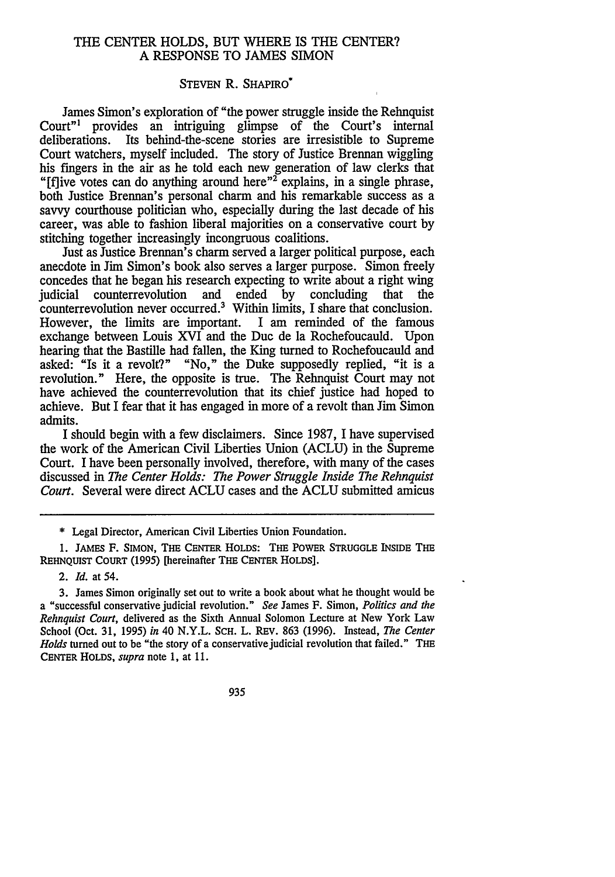## THE CENTER HOLDS, BUT WHERE IS THE CENTER? A RESPONSE TO JAMES SIMON

## STEVEN R. SHAPIRO\*

James Simon's exploration of "the power struggle inside the Rehnquist Court"' provides an intriguing glimpse of the Court's internal deliberations. Its behind-the-scene stories are irresistible to Supreme Court watchers, myself included. The story of Justice Brennan wiggling his fingers in the air as he told each new generation of law clerks that "If ive votes can do anything around here"<sup>2</sup> explains, in a single phrase, both Justice Brennan's personal charm and his remarkable success as a savvy courthouse politician who, especially during the last decade of his career, was able to fashion liberal majorities on a conservative court by stitching together increasingly incongruous coalitions.

Just as Justice Brennan's charm served a larger political purpose, each anecdote in Jim Simon's book also serves a larger purpose. Simon freely concedes that he began his research expecting to write about a right wing<br>indicial counterrevolution and ended by concluding that the judicial counterrevolution and ended by concluding that the counterrevolution never occurred.<sup>3</sup> Within limits, I share that conclusion. However, the limits are important. I am reminded of the famous exchange between Louis XVI and the Duc de la Rochefoucauld. Upon hearing that the Bastille had fallen, the King turned to Rochefoucauld and asked: "Is it a revolt?" "No," the Duke supposedly replied, "it is a revolution." Here, the opposite is true. The Rehnquist Court may not have achieved the counterrevolution that its chief justice had hoped to achieve. But I fear that it has engaged in more of a revolt than Jim Simon admits.

I should begin with a few disclaimers. Since 1987, I have supervised the work of the American Civil Liberties Union (ACLU) in the Supreme Court. I have been personally involved, therefore, with many of the cases discussed in *The Center Holds: The Power Struggle Inside The Rehnquist Court.* Several were direct ACLU cases and the ACLU submitted amicus

935

<sup>\*</sup> Legal Director, American Civil Liberties Union Foundation.

**<sup>1.</sup>** JAMES F. SIMON, THE **CENTER** HOLDS: THE POWER STRUGGLE INSIDE THE REHNQUIST COURT (1995) [hereinafter THE **CENTER** HOLDS].

<sup>2.</sup> *Id.* at 54.

<sup>3.</sup> James Simon originally set out to write a book about what he thought would be a "successful conservative judicial revolution." *See* James F. Simon, *Politics and the Rehnquist Court,* delivered as the Sixth Annual Solomon Lecture at New York Law School (Oct. 31, 1995) *in* 40 N.Y.L. SCH. L. REV. 863 (1996). Instead, *The Center Holds* turned out to be "the story of a conservative judicial revolution that failed." THE **CENTER** HOLDS, *supra* note 1, at 11.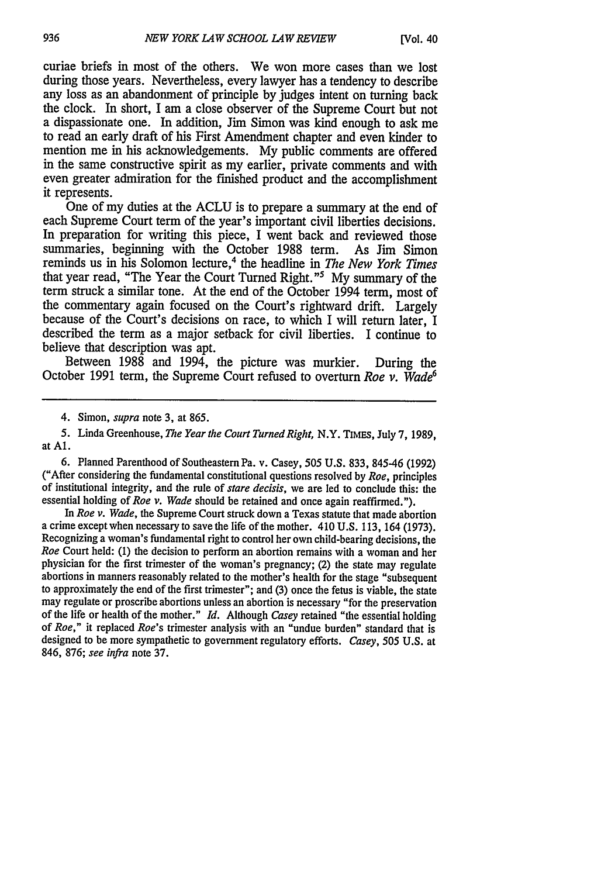curiae briefs in most of the others. We won more cases than we lost during those years. Nevertheless, every lawyer has a tendency to describe any loss as an abandonment of principle by judges intent on turning back the clock. In short, I am a close observer of the Supreme Court but not a dispassionate one. In addition, Jim Simon was kind enough to ask me to read an early draft of his First Amendment chapter and even kinder to mention me in his acknowledgements. My public comments are offered in the same constructive spirit as my earlier, private comments and with even greater admiration for the finished product and the accomplishment it represents.

One of my duties at the ACLU is to prepare a summary at the end of each Supreme Court term of the year's important civil liberties decisions. In preparation for writing this piece, I went back and reviewed those summaries, beginning with the October 1988 term. As Jim Simon reminds us in his Solomon lecture,<sup>4</sup> the headline in *The New York Times* that year read, "The Year the Court Turned Right."5 My summary of the term struck a similar tone. At the end of the October 1994 term, most of the commentary again focused on the Court's rightward drift. Largely because of the Court's decisions on race, to which I will return later, I described the term as a major setback for civil liberties. I continue to believe that description was apt.

Between 1988 and 1994, the picture was murkier. During the October 1991 term, the Supreme Court refused to overturn *Roe v. Wade6*

4. Simon, *supra* note 3, at 865.

6. Planned Parenthood of Southeastern Pa. v. Casey, 505 U.S. 833, 845-46 (1992) ("After considering the fundamental constitutional questions resolved by *Roe,* principles of institutional integrity, and the rule of *stare decisis,* we are led to conclude this: the essential holding of *Roe v. Wade* should be retained and once again reaffirmed.").

*In Roe v. Wade,* the Supreme Court struck down a Texas statute that made abortion a crime except when necessary to save the life of the mother. 410 U.S. 113, 164 (1973). Recognizing a woman's fundamental right to control her own child-bearing decisions, the *Roe* Court held: (1) the decision to perform an abortion remains with a woman and her physician for the first trimester of the woman's pregnancy; (2) the state may regulate abortions in manners reasonably related to the mother's health for the stage "subsequent to approximately the end of the first trimester"; and (3) once the fetus is viable, the state may regulate or proscribe abortions unless an abortion is necessary "for the preservation of the life or health of the mother." *Id.* Although *Casey* retained "the essential holding of *Roe,"* it replaced *Roe's* trimester analysis with an "undue burden" standard that is designed to be more sympathetic to government regulatory efforts. *Casey, 505* U.S. at 846, 876; *see infra* note 37.

<sup>5.</sup> Linda Greenhouse, *The Year the Court Turned Right,* N.Y. TIMEs, July 7, 1989, at **Al.**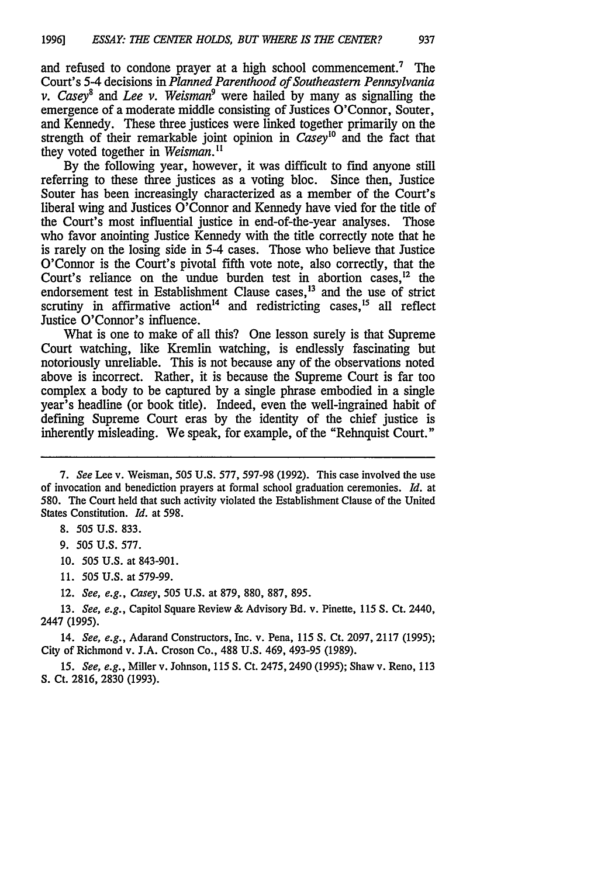and refused to condone prayer at a high school commencement.<sup>7</sup> The Court's 5-4 decisions in *Planned Parenthood of Southeastern Pennsylvania v. Casey' and Lee v. Weisman9* were hailed by many as signalling the emergence of a moderate middle consisting of Justices O'Connor, Souter, and Kennedy. These three justices were linked together primarily on the strength of their remarkable joint opinion in *Casey"°* and the fact that they voted together in *Weisman. I*

By the following year, however, it was difficult to find anyone still referring to these three justices as a voting bloc. Since then, Justice Souter has been increasingly characterized as a member of the Court's liberal wing and Justices O'Connor and Kennedy have vied for the title of the Court's most influential justice in end-of-the-year analyses. Those who favor anointing Justice Kennedy with the title correctly note that he is rarely on the losing side in 5-4 cases. Those who believe that Justice O'Connor is the Court's pivotal fifth vote note, also correctly, that the Court's reliance on the undue burden test in abortion cases.<sup>12</sup> the endorsement test in Establishment Clause cases,<sup>13</sup> and the use of strict scrutiny in affirmative action<sup>14</sup> and redistricting cases,<sup>15</sup> all reflect Justice O'Connor's influence.

What is one to make of all this? One lesson surely is that Supreme Court watching, like Kremlin watching, is endlessly fascinating but notoriously unreliable. This is not because any of the observations noted above is incorrect. Rather, it is because the Supreme Court is far too complex a body to be captured by a single phrase embodied in a single year's headline (or book title). Indeed, even the well-ingrained habit of defining Supreme Court eras by the identity of the chief justice is inherently misleading. We speak, for example, of the "Rehnquist Court."

- 10. 505 U.S. at 843-901.
- 11. *505* U.S. at 579-99.

12. *See, e.g., Casey,* 505 U.S. at 879, 880, 887, 895.

13. *See, e.g.,* Capitol Square Review & Advisory Bd. v. Pinette, 115 **S.** Ct. 2440, 2447 (1995).

14. *See, e.g.,* Adarand Constructors, Inc. v. Pena, 115 **S.** Ct. 2097, 2117 (1995); City of Richmond v. J.A. Croson Co., 488 U.S. 469, 493-95 (1989).

15. *See, e.g.,* Miller v. Johnson, 115 S. Ct. 2475,2490 (1995); Shaw v. Reno, 113 S. Ct. 2816, 2830 (1993).

*<sup>7.</sup> See* Lee v. Weisman, 505 U.S. 577, 597-98 (1992). This case involved the use of invocation and benediction prayers at formal school graduation ceremonies. *Id.* at 580. The Court held that such activity violated the Establishment Clause of the United States Constitution. *Id.* at 598.

<sup>8. 505</sup> U.S. 833.

<sup>9.</sup> *505* U.S. 577.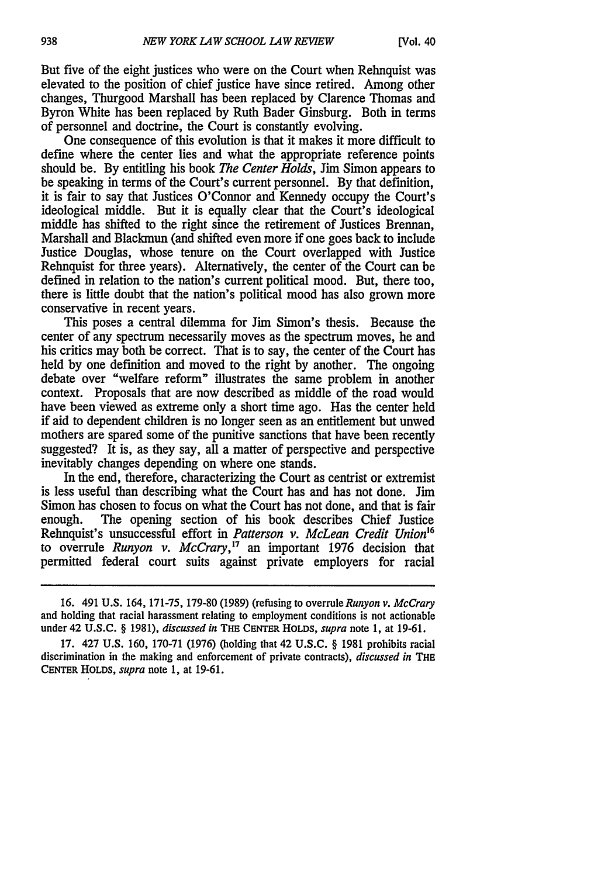But five of the eight justices who were on the Court when Rehnquist was elevated to the position of chief justice have since retired. Among other changes, Thurgood Marshall has been replaced by Clarence Thomas and Byron White has been replaced by Ruth Bader Ginsburg. Both in terms of personnel and doctrine, the Court is constantly evolving.

One consequence of this evolution is that it makes it more difficult to define where the center lies and what the appropriate reference points should be. By entitling his book *The Center Holds,* Jim Simon appears to be speaking in terms of the Court's current personnel. By that definition, it is fair to say that Justices O'Connor and Kennedy occupy the Court's ideological middle. But it is equally clear that the Court's ideological middle has shifted to the right since the retirement of Justices Brennan, Marshall and Blackmun (and shifted even more if one goes back to include Justice Douglas, whose tenure on the Court overlapped with Justice Rehnquist for three years). Alternatively, the center of the Court can be defined in relation to the nation's current political mood. But, there too, there is little doubt that the nation's political mood has also grown more conservative in recent years.

This poses a central dilemma for Jim Simon's thesis. Because the center of any spectrum necessarily moves as the spectrum moves, he and his critics may both be correct. That is to say, the center of the Court has held by one definition and moved to the right by another. The ongoing debate over "welfare reform" illustrates the same problem in another context. Proposals that are now described as middle of the road would have been viewed as extreme only a short time ago. Has the center held if aid to dependent children is no longer seen as an entitlement but unwed mothers are spared some of the punitive sanctions that have been recently suggested? It is, as they say, all a matter of perspective and perspective inevitably changes depending on where one stands.

In the end, therefore, characterizing the Court as centrist or extremist is less useful than describing what the Court has and has not done. Jim Simon has chosen to focus on what the Court has not done, and that is fair enough. The opening section of his book describes Chief Justice Rehnquist's unsuccessful effort in *Patterson v. McLean Credit Union <sup>6</sup>* to overrule *Runyon v. McCrary,7* an important 1976 decision that permitted federal court suits against private employers for racial

<sup>16. 491</sup> U.S. 164, 171-75, 179-80 (1989) (refusing to overrule *Runyon v. McCrary* and holding that racial harassment relating to employment conditions is not actionable under 42 U.S.C. § 1981), *discussed in* THE CENTER HOLDS, *supra* note 1, at 19-61.

<sup>17. 427</sup> U.S. 160, 170-71 (1976) (holding that 42 U.S.C. § 1981 prohibits racial discrimination in the making and enforcement of private contracts), *discussed in* THE CENTER HOLDS, *supra* note 1, at 19-61.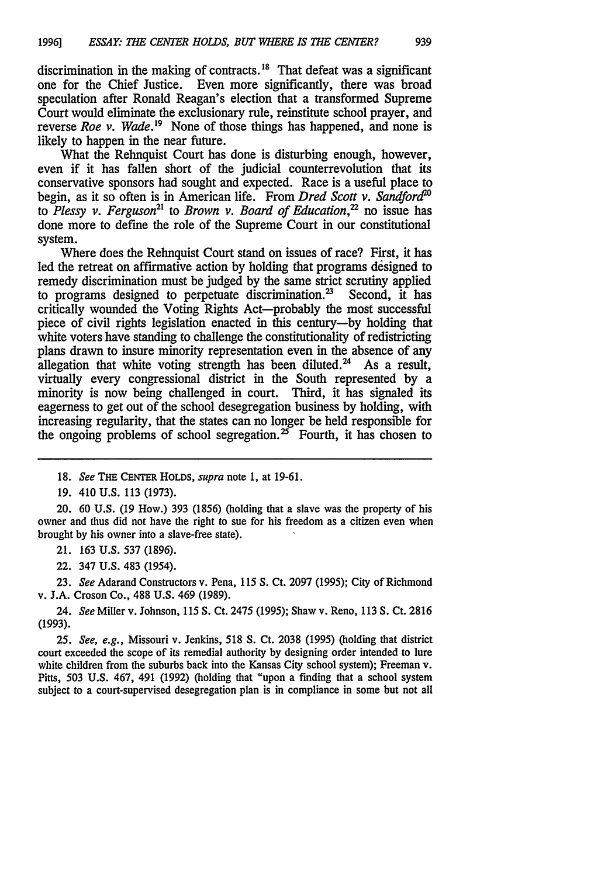discrimination in the making of contracts.<sup>18</sup> That defeat was a significant one for the Chief Justice. Even more significantly, there was broad speculation after Ronald Reagan's election that a transformed Supreme Court would eliminate the exclusionary rule, reinstitute school prayer, and reverse *Roe v. Wade*.<sup>19</sup> None of those things has happened, and none is likely to happen in the near future.

What the Rehnquist Court has done is disturbing enough, however, even if it has fallen short of the judicial counterrevolution that its conservative sponsors had sought and expected. Race is a useful place to begin, as it so often is in American life. From *Dred Scott v. Sandford'"* to *Plessy v. Ferguson*<sup>21</sup> to *Brown v. Board of Education*,<sup>22</sup> no issue has done more to define the role of the Supreme Court in our constitutional system.

Where does the Rehnquist Court stand on issues of race? First, it has led the retreat on affirmative action by holding that programs designed to remedy discrimination must be judged by the same strict scrutiny applied to programs designed to perpetuate discrimination.<sup>23</sup> Second, it has critically wounded the Voting Rights Act-probably the most successful piece of civil rights legislation enacted in this century-by holding that white voters have standing to challenge the constitutionality of redistricting plans drawn to insure minority representation even in the absence of any allegation that white voting strength has been diluted.<sup>24</sup> As a result. virtually every congressional district in the South represented by a minority is now being challenged in court. Third, it has signaled its eagerness to get out of the school desegregation business by holding, with increasing regularity, that the states can no longer be held responsible for the ongoing problems of school segregation.<sup>25</sup> Fourth, it has chosen to

20. 60 U.S. **(19** How.) 393 (1856) (holding that a slave was the property of his owner and thus did not have the right to sue for his freedom as a citizen even when brought by his owner into a slave-free state).

21. 163 **U.S.** 537 (1896).

22. 347 **U.S.** 483 (1954).

23. *See* Adarand Constructors v. Pena, 115 **S.** Ct. 2097 (1995); City of Richmond v. J.A. Croson Co., **488 U.S.** 469 (1989).

24. *See* Miller v. Johnson, 115 **S.** Ct. 2475 (1995); Shaw v. Reno, 113 **S.** Ct. 2816 (1993).

**25.** *See, e.g.,* Missouri v. Jenkins, **518 S.** Ct. **2038 (1995)** (holding that district court exceeded the scope of its remedial authority **by** designing order intended to lure white children from the suburbs back into the Kansas City school system); Freeman v. Pitts, **503 U.S.** 467, 491 **(1992)** (holding that "upon a finding that a school system subject to a court-supervised desegregation plan is in compliance in some but not all

<sup>18.</sup> *See* THE **CENTER HOLDS,** *supra* note 1, at 19-61.

**<sup>19.</sup>** 410 **U.S.** 113 (1973).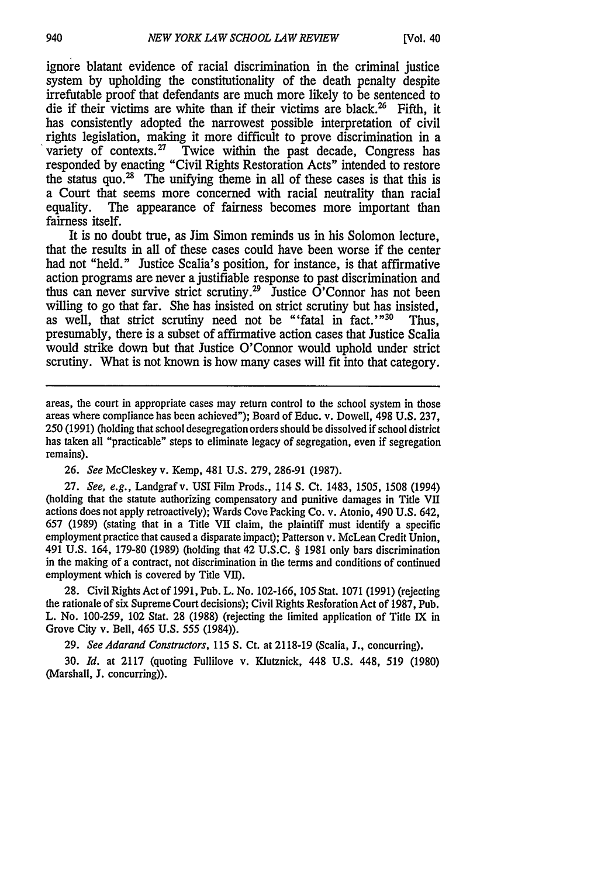ignore blatant evidence of racial discrimination in the criminal justice system by upholding the constitutionality of the death penalty despite irrefutable proof that defendants are much more likely to be sentenced to die if their victims are white than if their victims are black.<sup>26</sup> Fifth, it has consistently adopted the narrowest possible interpretation of civil rights legislation, making it more difficult to prove discrimination in a variety of contexts.<sup>27</sup> Twice within the past decade, Congress has responded by enacting "Civil Rights Restoration Acts" intended to restore the status quo. $^{28}$  The unifying theme in all of these cases is that this is a Court that seems more concerned with racial neutrality than racial equality. The appearance of fairness becomes more important than The appearance of fairness becomes more important than fairness itself.

It is no doubt true, as Jim Simon reminds us in his Solomon lecture, that the results in all of these cases could have been worse if the center had not "held." Justice Scalia's position, for instance, is that affirmative action programs are never a justifiable response to past discrimination and thus can never survive strict scrutiny.<sup>29</sup> Justice O'Connor has not been willing to go that far. She has insisted on strict scrutiny but has insisted, as well, that strict scrutiny need not be "'fatal in fact.' $n^{30}$  Thus, presumably, there is a subset of affirmative action cases that Justice Scalia would strike down but that Justice O'Connor would uphold under strict scrutiny. What is not known is how many cases will fit into that category.

*26. See* McCleskey v. Kemp, 481 U.S. 279, 286-91 (1987).

27. *See, e.g.,* Landgrafv. USI Film Prods., 114 S. Ct. 1483, 1505, 1508 (1994) (holding that the statute authorizing compensatory and punitive damages in Title VII actions does not apply retroactively); Wards Cove Packing Co. v. Atonio, 490 U.S. 642, 657 (1989) (stating that in a Title VII claim, the plaintiff must identify a specific employment practice that caused a disparate impact); Patterson v. McLean Credit Union, 491 U.S. 164, 179-80 (1989) (holding that 42 U.S.C. § 1981 only bars discrimination in the making of a contract, not discrimination in the terms and conditions of continued employment which is covered by Title VII).

28. Civil Rights Act of 1991, Pub. L. No. 102-166, 105 Stat. 1071 (1991) (rejecting the rationale of six Supreme Court decisions); Civil Rights Resforation Act of 1987, Pub. L. No. 100-259, 102 Stat. 28 (1988) (rejecting the limited application of Title IX in Grove City v. Bell, 465 U.S. 555 (1984)).

29. *See Adarand Constructors,* 115 *S.* Ct. at 2118-19 (Scalia, J., concurring).

30. *Id.* at 2117 (quoting Fullilove v. Klutznick, 448 U.S. 448, 519 (1980) (Marshall, J. concurring)).

areas, the court in appropriate cases may return control to the school system in those areas where compliance has been achieved"); Board of Educ. v. Dowell, 498 U.S. 237, 250 (1991) (holding that school desegregation orders should be dissolved if school district has taken all "practicable" steps to eliminate legacy of segregation, even if segregation remains).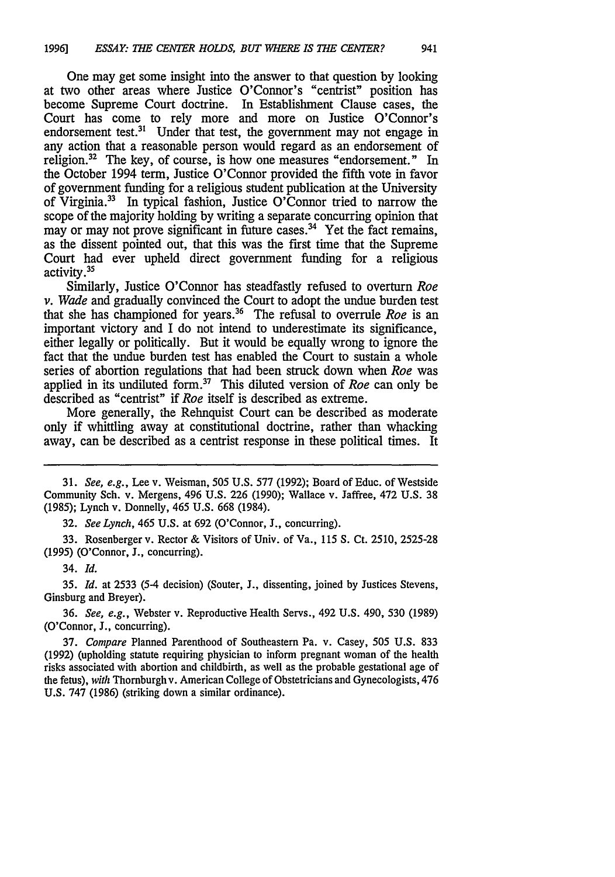One may get some insight into the answer to that question by looking at two other areas where Justice O'Connor's "centrist" position has become Supreme Court doctrine. In Establishment Clause cases, the Court has come to rely more and more on Justice O'Connor's endorsement test.<sup>31</sup> Under that test, the government may not engage in any action that a reasonable person would regard as an endorsement of religion.<sup>32</sup> The key, of course, is how one measures "endorsement." In the October 1994 term, Justice O'Connor provided the fifth vote in favor of government funding for a religious student publication at the University of Virginia.33 In typical fashion, Justice O'Connor tried to narrow the scope of the majority holding by writing a separate concurring opinion that may or may not prove significant in future cases.<sup>34</sup> Yet the fact remains, as the dissent pointed out, that this was the first time that the Supreme Court had ever upheld direct government funding for a religious activity.35

Similarly, Justice O'Connor has steadfastly refused to overturn *Roe v. Wade* and gradually convinced the Court to adopt the undue burden test that she has championed for years.36 The refusal to overrule *Roe* is an important victory and I do not intend to underestimate its significance, either legally or politically. But it would be equally wrong to ignore the fact that the undue burden test has enabled the Court to sustain a whole series of abortion regulations that had been struck down when *Roe* was applied in its undiluted form.<sup>37</sup> This diluted version of *Roe* can only be described as "centrist" if *Roe* itself is described as extreme.

More generally, the Rehnquist Court can be described as moderate only if whittling away at constitutional doctrine, rather than whacking away, can be described as a centrist response in these political times. It

32. *See Lynch,* 465 U.S. at 692 (O'Connor, **J.,** concurring).

33. Rosenberger v. Rector & Visitors of Univ. of Va., 115 **S.** Ct. 2510, 2525-28 **(1995)** (O'Connor, **J.,** concurring).

34. *Id.*

**35.** *Id.* at **2533** (5-4 decision) (Souter, **J.,** dissenting, joined **by** Justices Stevens, Ginsburg and Breyer).

**36.** *See, e.g.,* Webster v. Reproductive Health Servs., 492 **U.S.** 490, **530 (1989)** (O'Connor, **J.,** concurring).

**37.** *Compare* Planned Parenthood of Southeastern Pa. v. Casey, **505 U.S. 833 (1992)** (upholding statute requiring physician to inform pregnant woman of the health risks associated with abortion and childbirth, as well as the probable gestational age of the fetus), *with* Thornburghv. American College of Obstetricians and Gynecologists, 476 **U.S. 747 (1986)** (striking down a similar ordinance).

<sup>31.</sup> *See, e.g.,* Lee v. Weisman, 505 U.S. 577 (1992); Board of Educ. of Westside Community Sch. v. Mergens, 496 U.S. 226 (1990); Wallace v. Jaffree, 472 U.S. 38 (1985); Lynch v. Donnelly, 465 U.S. 668 (1984).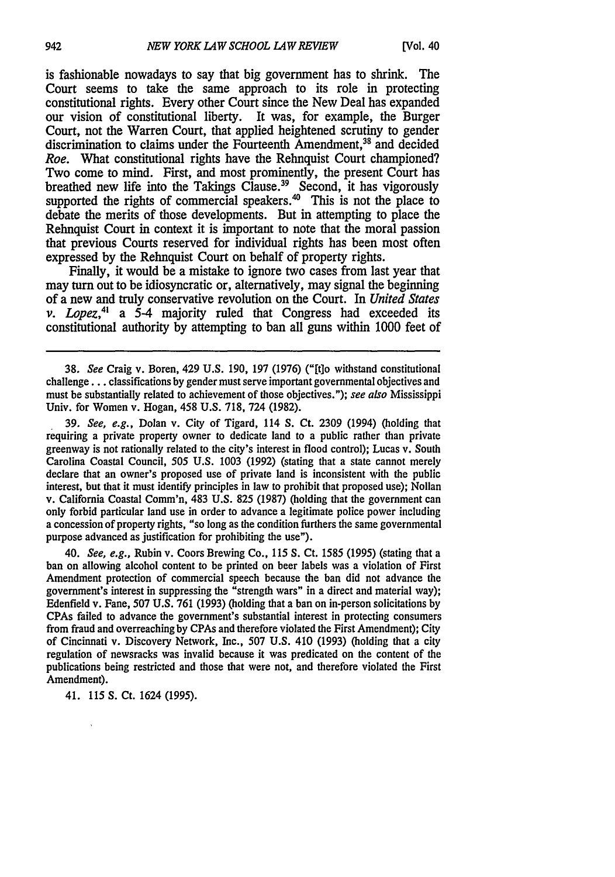is fashionable nowadays to say that big government has to shrink. The Court seems to take the same approach to its role in protecting constitutional rights. Every other Court since the New Deal has expanded our vision of constitutional liberty. It was, for example, the Burger Court, not the Warren Court, that applied heightened scrutiny to gender discrimination to claims under the Fourteenth Amendment,<sup>38</sup> and decided *Roe.* What constitutional rights have the Rehnquist Court championed? Two come to mind. First, and most prominently, the present Court has breathed new life into the Takings Clause.<sup>39</sup> Second, it has vigorously supported the rights of commercial speakers. $40$  This is not the place to debate the merits of those developments. But in attempting to place the Rehnquist Court in context it is important to note that the moral passion that previous Courts reserved for individual rights has been most often expressed by the Rehnquist Court on behalf of property rights.

Finally, it would be a mistake to ignore two cases from last year that may turn out to be idiosyncratic or, alternatively, may signal the beginning of a new and truly conservative revolution on the Court. In *United States v. Lopez,4* a 5-4 majority ruled that Congress had exceeded its constitutional authority by attempting to ban all guns within 1000 feet of

38. *See* Craig v. Boren, 429 U.S. 190, 197 (1976) ("[tlo withstand constitutional challenge... classifications by gender must serve important governmental objectives and must be substantially related to achievement of those objectives."); see also Mississippi Univ. for Women v. Hogan, 458 U.S. 718, 724 (1982).

39. *See, e.g.,* Dolan v. City of Tigard, 114 S. Ct. 2309 (1994) (holding that requiring a private property owner to dedicate land to a public rather than private greenway is not rationally related to the city's interest in flood control); Lucas v. South Carolina Coastal Council, 505 U.S. 1003 (1992) (stating that a state cannot merely declare that an owner's proposed use of private land is inconsistent with the public interest, but that it must identify principles in law to prohibit that proposed use); Nollan v. California Coastal Comm'n, 483 U.S. 825 (1987) (holding that the government can only forbid particular land use in order to advance a legitimate police power including a concession of property rights, "so long as the condition furthers the same governmental purpose advanced as justification for prohibiting the use").

40. *See, e.g.,* Rubin v. Coors Brewing Co., 115 *S.* Ct. 1585 (1995) (stating that a ban on allowing alcohol content to be printed on beer labels was a violation of First Amendment protection of commercial speech because the ban did not advance the government's interest in suppressing the "strength wars" in a direct and material way); Edenfield v. Fane, 507 U.S. 761 (1993) (holding that a ban on in-person solicitations by CPAs failed to advance the government's substantial interest in protecting consumers from fraud and overreaching by CPAs and therefore violated the First Amendment); City of Cincinnati v. Discovery Network, Inc., 507 U.S. 410 (1993) (holding that a city regulation of newsracks was invalid because it was predicated on the content of the publications being restricted and those that were not, and therefore violated the First Amendment).

41. 115 *S.* Ct. 1624 (1995).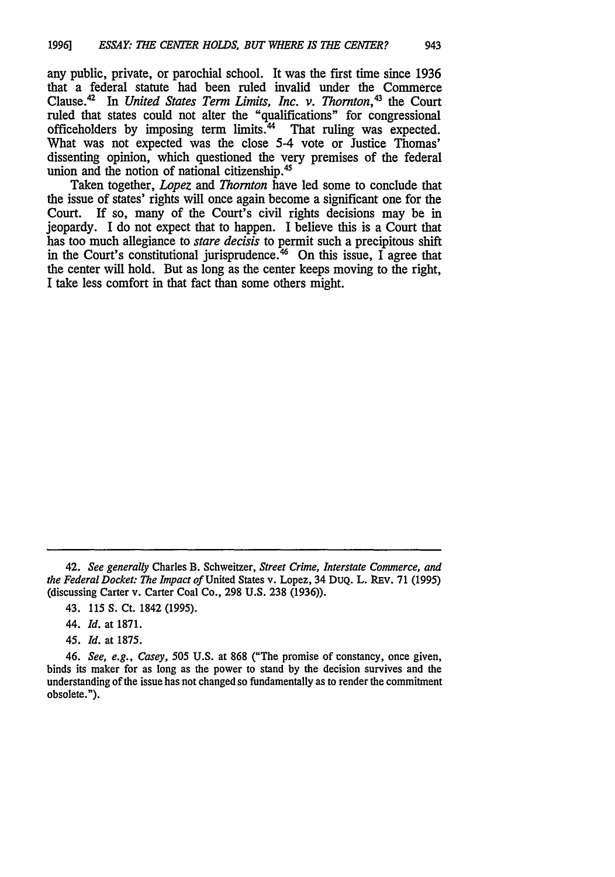any public, private, or parochial school. It was the first time since 1936 that a federal statute had been ruled invalid under the Commerce Clause.42 In *United States* Term *Limits, Inc. v. Thornton,43* the Court ruled that states could not alter the "qualifications" for congressional officeholders by imposing term limits.<sup>44</sup> That ruling was expected. What was not expected was the close **5-4** vote or Justice Thomas' dissenting opinion, which questioned the very premises of the federal union and the notion of national citizenship.<sup>4</sup>

Taken together, *Lopez and Thornton* have led some to conclude that the issue of states' rights will once again become a significant one for the Court. If so, many of the Court's civil rights decisions may be in If so, many of the Court's civil rights decisions may be in jeopardy. I do not expect that to happen. I believe this is a Court that has too much allegiance to *stare decisis* to permit such a precipitous shift in the Court's constitutional jurisprudence.<sup>46</sup> On this issue, I agree that the center will hold. But as long as the center keeps moving to the right, I take less comfort in that fact than some others might.

<sup>42.</sup> *See generally* Charles B. Schweitzer, *Street Crime, Interstate Commerce, and the Federal Docket: The Impact of* United States v. Lopez, 34 DUQ. L. REv. 71 (1995) (discussing Carter v. Carter Coal Co., 298 U.S. 238 (1936)).

<sup>43.</sup> **115 S.** Ct. 1842 **(1995).**

<sup>44.</sup> *Id.* at **1871.**

*<sup>45.</sup> Id.* at **1875.**

*<sup>46.</sup> See, e.g., Casey, 505* **U.S.** at **868** ("The promise of constancy, once given, binds its maker for as long as the power to stand by the decision survives and the understanding of the issue has not changed so fundamentally as to render the commitment obsolete.").